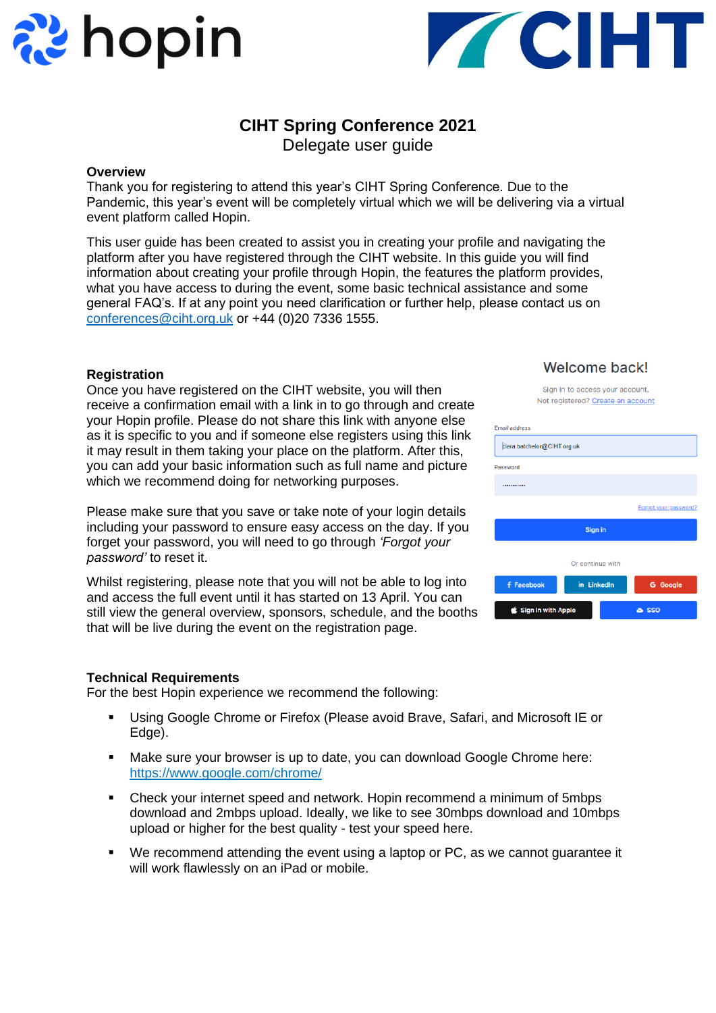



# **CIHT Spring Conference 2021**

Delegate user guide

# **Overview**

Thank you for registering to attend this year's CIHT Spring Conference. Due to the Pandemic, this year's event will be completely virtual which we will be delivering via a virtual event platform called Hopin.

This user guide has been created to assist you in creating your profile and navigating the platform after you have registered through the CIHT website. In this guide you will find information about creating your profile through Hopin, the features the platform provides, what you have access to during the event, some basic technical assistance and some general FAQ's. If at any point you need clarification or further help, please contact us on [conferences@ciht.org.uk](mailto:conferences@ciht.org.uk) or +44 (0)20 7336 1555.

# **Registration**

Once you have registered on the CIHT website, you will then receive a confirmation email with a link in to go through and create your Hopin profile. Please do not share this link with anyone else as it is specific to you and if someone else registers using this link it may result in them taking your place on the platform. After this, you can add your basic information such as full name and picture which we recommend doing for networking purposes.

Please make sure that you save or take note of your login details including your password to ensure easy access on the day. If you forget your password, you will need to go through *'Forgot your password'* to reset it.

Whilst registering, please note that you will not be able to log into and access the full event until it has started on 13 April. You can still view the general overview, sponsors, schedule, and the booths that will be live during the event on the registration page.

# **Technical Requirements**

For the best Hopin experience we recommend the following:

- Using Google Chrome or Firefox (Please avoid Brave, Safari, and Microsoft IE or Edge).
- Make sure your browser is up to date, you can download Google Chrome here: https://www.google.com/chrome/
- Check your internet speed and network. Hopin recommend a minimum of 5mbps download and 2mbps upload. Ideally, we like to see 30mbps download and 10mbps upload or higher for the best quality - test your speed here.
- We recommend attending the event using a laptop or PC, as we cannot guarantee it will work flawlessly on an iPad or mobile.

# Welcome back!

| Sign in to access your account.   |  |
|-----------------------------------|--|
| Not registered? Create an account |  |
|                                   |  |

| <b>Email address</b>        |                  |                       |  |  |
|-----------------------------|------------------|-----------------------|--|--|
| ciara.batchelor@CIHT.org.uk |                  |                       |  |  |
| Password                    |                  |                       |  |  |
|                             |                  |                       |  |  |
|                             |                  | Forgot your password? |  |  |
| Sign in                     |                  |                       |  |  |
|                             | Or continue with |                       |  |  |
| <b>f</b> Facebook           | in LinkedIn      | <b>G</b> Google       |  |  |
| Sign in with Apple          | <b>&amp; SSO</b> |                       |  |  |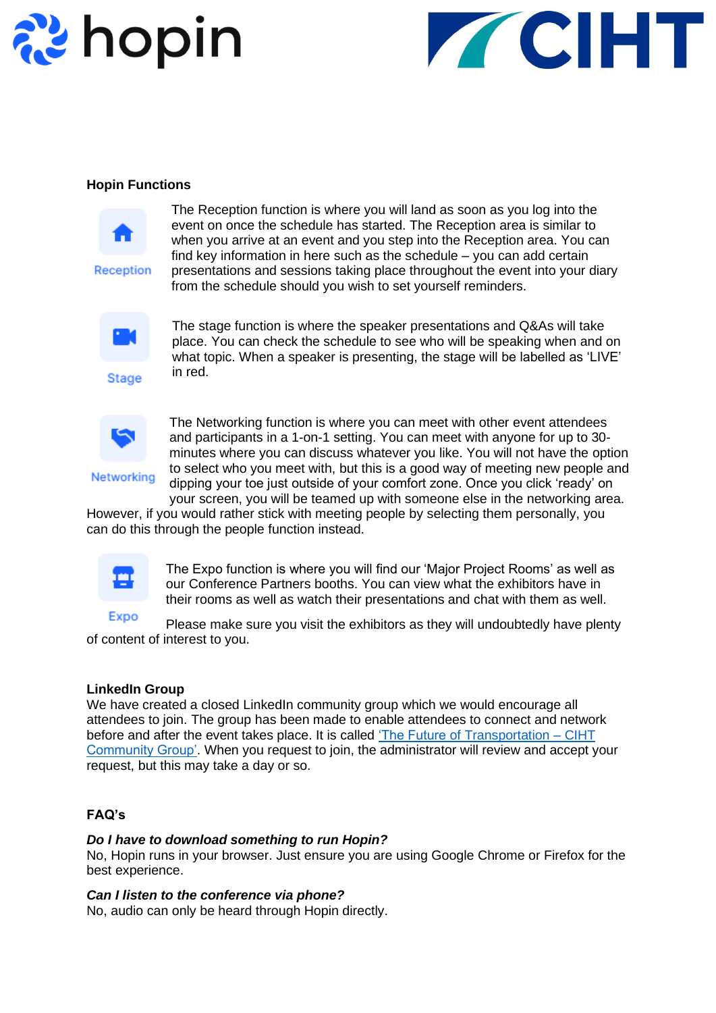



#### **Hopin Functions**



Reception

The Reception function is where you will land as soon as you log into the event on once the schedule has started. The Reception area is similar to when you arrive at an event and you step into the Reception area. You can find key information in here such as the schedule – you can add certain presentations and sessions taking place throughout the event into your diary from the schedule should you wish to set yourself reminders.



**Stage** 

The stage function is where the speaker presentations and Q&As will take place. You can check the schedule to see who will be speaking when and on what topic. When a speaker is presenting, the stage will be labelled as 'LIVE' in red.



Networking

The Networking function is where you can meet with other event attendees and participants in a 1-on-1 setting. You can meet with anyone for up to 30 minutes where you can discuss whatever you like. You will not have the option to select who you meet with, but this is a good way of meeting new people and dipping your toe just outside of your comfort zone. Once you click 'ready' on your screen, you will be teamed up with someone else in the networking area.

However, if you would rather stick with meeting people by selecting them personally, you can do this through the people function instead.



The Expo function is where you will find our 'Major Project Rooms' as well as our Conference Partners booths. You can view what the exhibitors have in their rooms as well as watch their presentations and chat with them as well.

Expo Please make sure you visit the exhibitors as they will undoubtedly have plenty of content of interest to you.

#### **LinkedIn Group**

We have created a closed LinkedIn community group which we would encourage all attendees to join. The group has been made to enable attendees to connect and network before and after the event takes place. It is called 'The Future [of Transportation –](https://www.linkedin.com/groups/9031946/) CIHT [Community Group'.](https://www.linkedin.com/groups/9031946/) When you request to join, the administrator will review and accept your request, but this may take a day or so.

# **FAQ's**

#### *Do I have to download something to run Hopin?*

No, Hopin runs in your browser. Just ensure you are using Google Chrome or Firefox for the best experience.

#### *Can I listen to the conference via phone?*

No, audio can only be heard through Hopin directly.